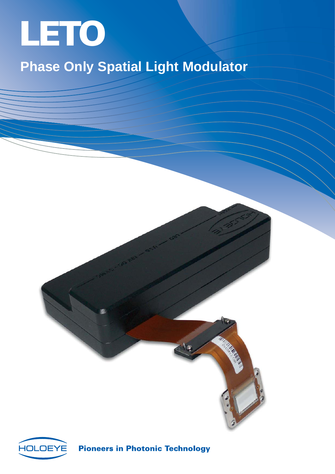

# **Phase Only Spatial Light Modulator**





**Pioneers in Photonic Technology**